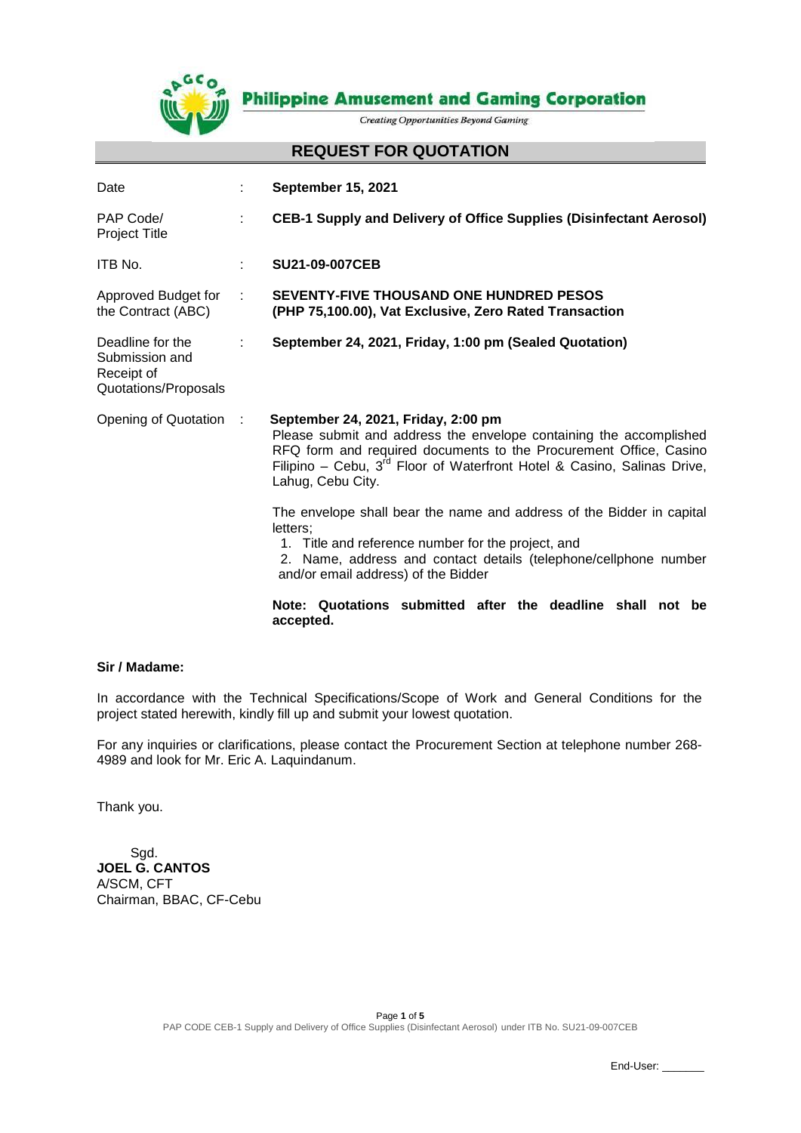

**Philippine Amusement and Gaming Corporation** 

**Creating Opportunities Beyond Gaming** 

#### **REQUEST FOR QUOTATION**

| Date                                                                     |      | <b>September 15, 2021</b>                                                                                                                                                                                                                                                           |  |
|--------------------------------------------------------------------------|------|-------------------------------------------------------------------------------------------------------------------------------------------------------------------------------------------------------------------------------------------------------------------------------------|--|
| PAP Code/<br>Project Title                                               | ۰    | <b>CEB-1 Supply and Delivery of Office Supplies (Disinfectant Aerosol)</b>                                                                                                                                                                                                          |  |
| ITB No.                                                                  | ÷.   | <b>SU21-09-007CEB</b>                                                                                                                                                                                                                                                               |  |
| Approved Budget for<br>the Contract (ABC)                                | ٠    | <b>SEVENTY-FIVE THOUSAND ONE HUNDRED PESOS</b><br>(PHP 75,100.00), Vat Exclusive, Zero Rated Transaction                                                                                                                                                                            |  |
| Deadline for the<br>Submission and<br>Receipt of<br>Quotations/Proposals |      | September 24, 2021, Friday, 1:00 pm (Sealed Quotation)                                                                                                                                                                                                                              |  |
| Opening of Quotation                                                     | - 11 | September 24, 2021, Friday, 2:00 pm<br>Please submit and address the envelope containing the accomplished<br>RFQ form and required documents to the Procurement Office, Casino<br>Filipino - Cebu, $3^{rd}$ Floor of Waterfront Hotel & Casino, Salinas Drive,<br>Lahug, Cebu City. |  |
|                                                                          |      | The envelope shall bear the name and address of the Bidder in capital<br>letters:<br>1. Title and reference number for the project, and<br>2. Name, address and contact details (telephone/cellphone number<br>and/or email address) of the Bidder                                  |  |
|                                                                          |      | Note: Quotations submitted after the deadline shall not be<br>accepted.                                                                                                                                                                                                             |  |

#### **Sir / Madame:**

In accordance with the Technical Specifications/Scope of Work and General Conditions for the project stated herewith, kindly fill up and submit your lowest quotation.

For any inquiries or clarifications, please contact the Procurement Section at telephone number 268- 4989 and look for Mr. Eric A. Laquindanum.

Thank you.

 Sgd. **JOEL G. CANTOS** A/SCM, CFT Chairman, BBAC, CF-Cebu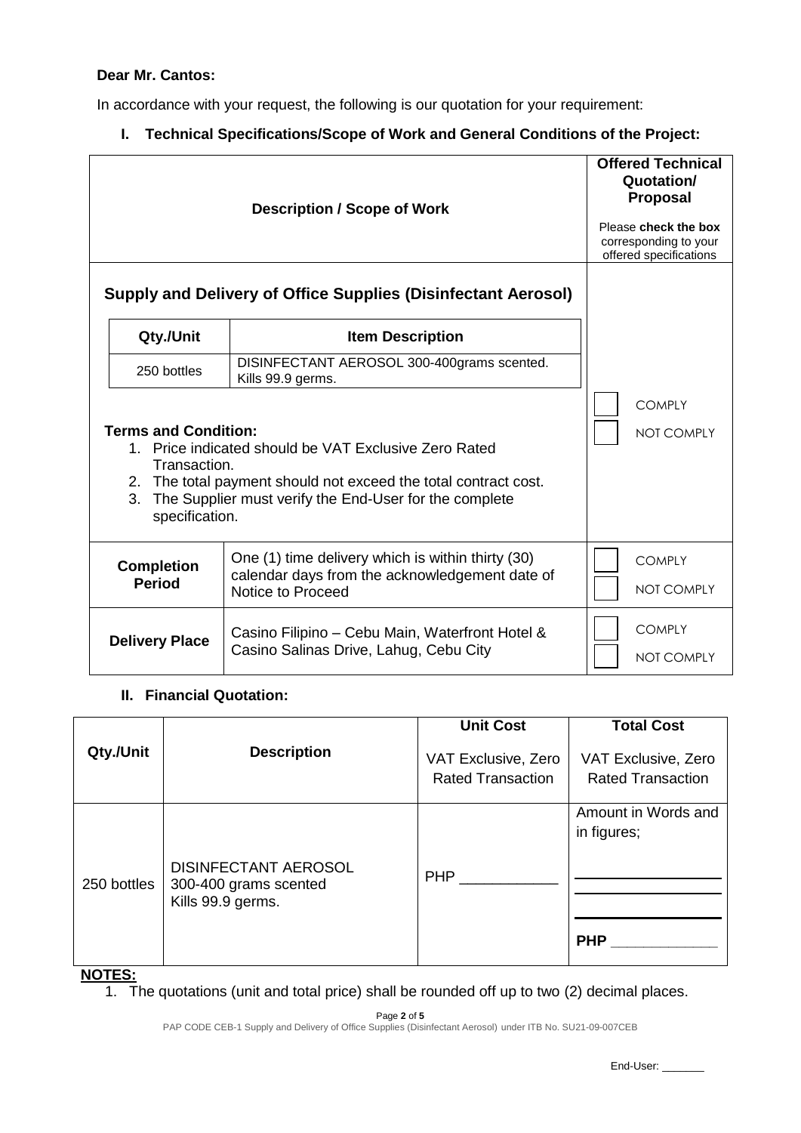# **Dear Mr. Cantos:**

In accordance with your request, the following is our quotation for your requirement:

**I. Technical Specifications/Scope of Work and General Conditions of the Project:**

|                                                                                                                                                                                                                                                           | <b>Offered Technical</b><br>Quotation/<br><b>Proposal</b><br>Please check the box<br>corresponding to your<br>offered specifications |                                    |
|-----------------------------------------------------------------------------------------------------------------------------------------------------------------------------------------------------------------------------------------------------------|--------------------------------------------------------------------------------------------------------------------------------------|------------------------------------|
| Qty./Unit                                                                                                                                                                                                                                                 | <b>Supply and Delivery of Office Supplies (Disinfectant Aerosol)</b><br><b>Item Description</b>                                      |                                    |
| 250 bottles                                                                                                                                                                                                                                               | DISINFECTANT AEROSOL 300-400grams scented.<br>Kills 99.9 germs.                                                                      |                                    |
| <b>Terms and Condition:</b><br>1. Price indicated should be VAT Exclusive Zero Rated<br>Transaction.<br>2. The total payment should not exceed the total contract cost.<br>3.<br>The Supplier must verify the End-User for the complete<br>specification. | <b>COMPLY</b><br>NOT COMPLY                                                                                                          |                                    |
| <b>Completion</b><br><b>Period</b>                                                                                                                                                                                                                        | One (1) time delivery which is within thirty (30)<br>calendar days from the acknowledgement date of<br>Notice to Proceed             | <b>COMPLY</b><br><b>NOT COMPLY</b> |
| <b>Delivery Place</b>                                                                                                                                                                                                                                     | Casino Filipino - Cebu Main, Waterfront Hotel &<br>Casino Salinas Drive, Lahug, Cebu City                                            | <b>COMPLY</b><br><b>NOT COMPLY</b> |

## **II. Financial Quotation:**

|                  |                                                                           | <b>Unit Cost</b>                                | <b>Total Cost</b>                                |
|------------------|---------------------------------------------------------------------------|-------------------------------------------------|--------------------------------------------------|
| Qty./Unit        | <b>Description</b>                                                        | VAT Exclusive, Zero<br><b>Rated Transaction</b> | VAT Exclusive, Zero<br><b>Rated Transaction</b>  |
| 250 bottles<br>. | <b>DISINFECTANT AEROSOL</b><br>300-400 grams scented<br>Kills 99.9 germs. | <b>PHP</b>                                      | Amount in Words and<br>in figures;<br><b>PHP</b> |

**NOTES:**

1. The quotations (unit and total price) shall be rounded off up to two (2) decimal places.

Page **2** of **5**

PAP CODE CEB-1 Supply and Delivery of Office Supplies (Disinfectant Aerosol) under ITB No. SU21-09-007CEB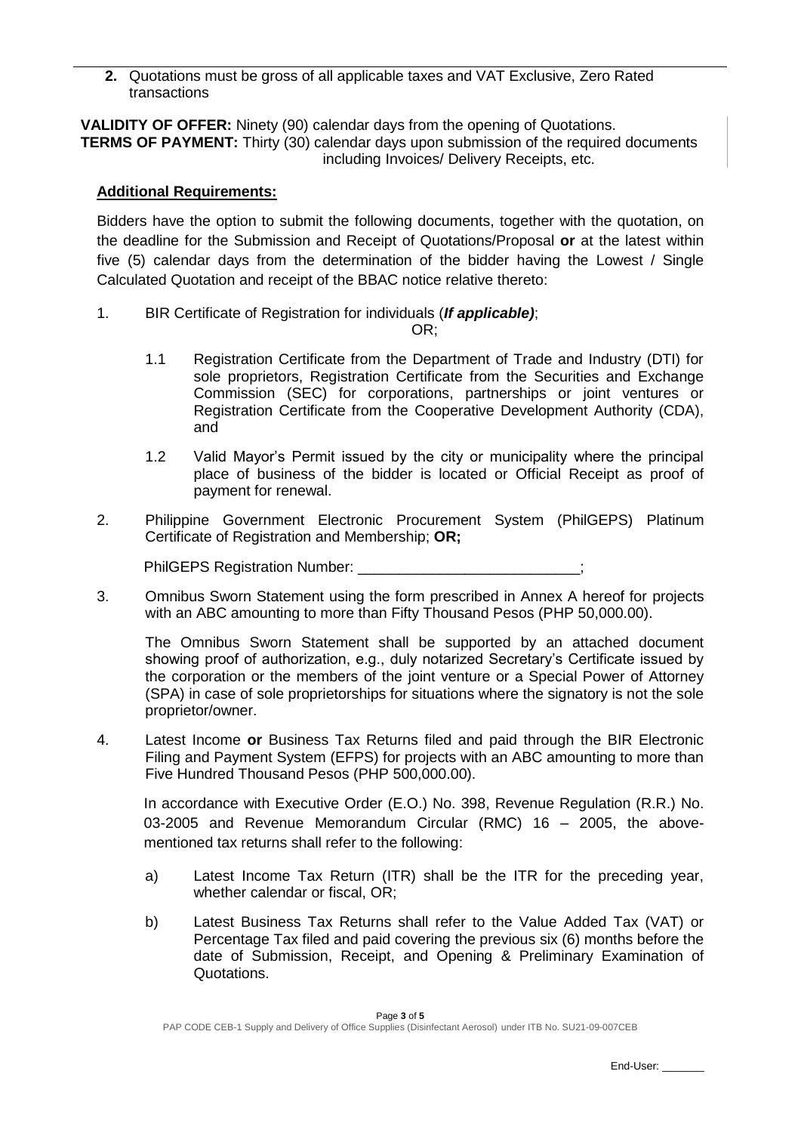**2.** Quotations must be gross of all applicable taxes and VAT Exclusive, Zero Rated transactions

**VALIDITY OF OFFER:** Ninety (90) calendar days from the opening of Quotations. **TERMS OF PAYMENT:** Thirty (30) calendar days upon submission of the required documents including Invoices/ Delivery Receipts, etc.

### **Additional Requirements:**

Bidders have the option to submit the following documents, together with the quotation, on the deadline for the Submission and Receipt of Quotations/Proposal **or** at the latest within five (5) calendar days from the determination of the bidder having the Lowest / Single Calculated Quotation and receipt of the BBAC notice relative thereto:

1. BIR Certificate of Registration for individuals (*If applicable)*;

OR;

- 1.1 Registration Certificate from the Department of Trade and Industry (DTI) for sole proprietors, Registration Certificate from the Securities and Exchange Commission (SEC) for corporations, partnerships or joint ventures or Registration Certificate from the Cooperative Development Authority (CDA), and
- 1.2 Valid Mayor's Permit issued by the city or municipality where the principal place of business of the bidder is located or Official Receipt as proof of payment for renewal.
- 2. Philippine Government Electronic Procurement System (PhilGEPS) Platinum Certificate of Registration and Membership; **OR;**

PhilGEPS Registration Number:

3. Omnibus Sworn Statement using the form prescribed in Annex A hereof for projects with an ABC amounting to more than Fifty Thousand Pesos (PHP 50,000.00).

The Omnibus Sworn Statement shall be supported by an attached document showing proof of authorization, e.g., duly notarized Secretary's Certificate issued by the corporation or the members of the joint venture or a Special Power of Attorney (SPA) in case of sole proprietorships for situations where the signatory is not the sole proprietor/owner.

4. Latest Income **or** Business Tax Returns filed and paid through the BIR Electronic Filing and Payment System (EFPS) for projects with an ABC amounting to more than Five Hundred Thousand Pesos (PHP 500,000.00).

In accordance with Executive Order (E.O.) No. 398, Revenue Regulation (R.R.) No. 03-2005 and Revenue Memorandum Circular (RMC) 16 – 2005, the abovementioned tax returns shall refer to the following:

- a) Latest Income Tax Return (ITR) shall be the ITR for the preceding year, whether calendar or fiscal, OR:
- b) Latest Business Tax Returns shall refer to the Value Added Tax (VAT) or Percentage Tax filed and paid covering the previous six (6) months before the date of Submission, Receipt, and Opening & Preliminary Examination of Quotations.

End-User: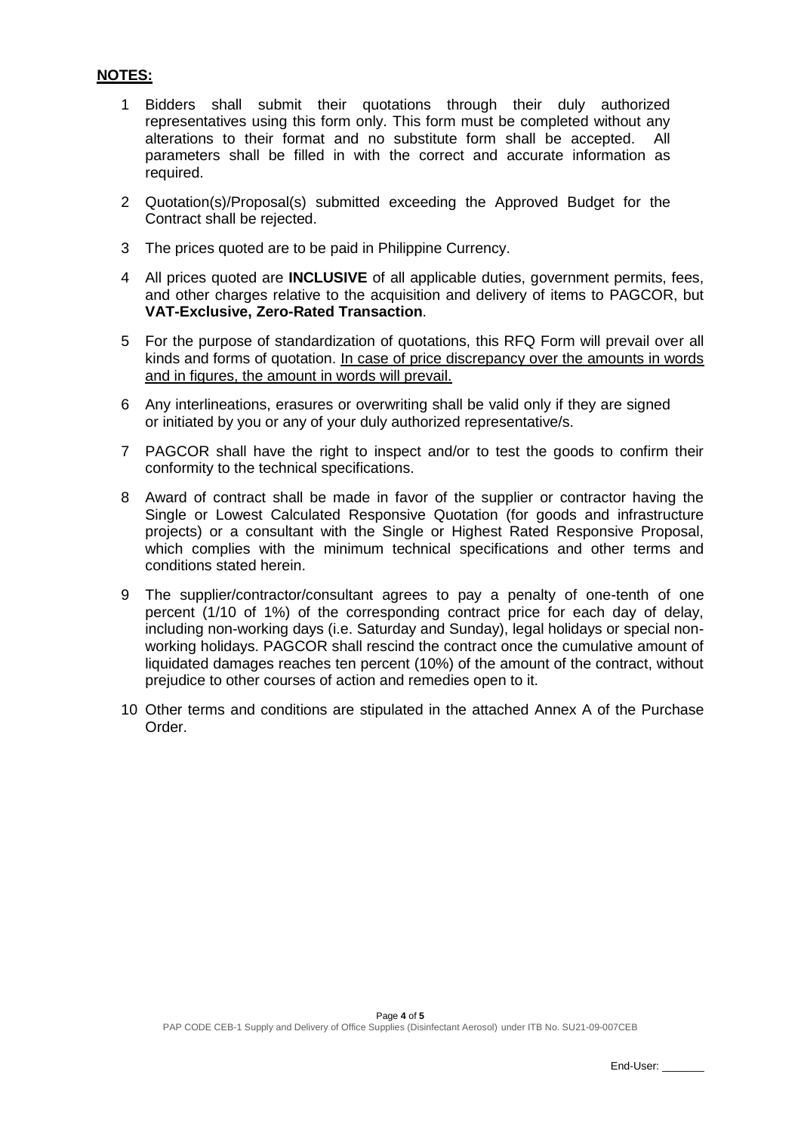# **NOTES:**

- 1 Bidders shall submit their quotations through their duly authorized representatives using this form only. This form must be completed without any alterations to their format and no substitute form shall be accepted. All parameters shall be filled in with the correct and accurate information as required.
- 2 Quotation(s)/Proposal(s) submitted exceeding the Approved Budget for the Contract shall be rejected.
- 3 The prices quoted are to be paid in Philippine Currency.
- 4 All prices quoted are **INCLUSIVE** of all applicable duties, government permits, fees, and other charges relative to the acquisition and delivery of items to PAGCOR, but **VAT-Exclusive, Zero-Rated Transaction**.
- 5 For the purpose of standardization of quotations, this RFQ Form will prevail over all kinds and forms of quotation. In case of price discrepancy over the amounts in words and in figures, the amount in words will prevail.
- 6 Any interlineations, erasures or overwriting shall be valid only if they are signed or initiated by you or any of your duly authorized representative/s.
- 7 PAGCOR shall have the right to inspect and/or to test the goods to confirm their conformity to the technical specifications.
- 8 Award of contract shall be made in favor of the supplier or contractor having the Single or Lowest Calculated Responsive Quotation (for goods and infrastructure projects) or a consultant with the Single or Highest Rated Responsive Proposal, which complies with the minimum technical specifications and other terms and conditions stated herein.
- 9 The supplier/contractor/consultant agrees to pay a penalty of one-tenth of one percent (1/10 of 1%) of the corresponding contract price for each day of delay, including non-working days (i.e. Saturday and Sunday), legal holidays or special nonworking holidays. PAGCOR shall rescind the contract once the cumulative amount of liquidated damages reaches ten percent (10%) of the amount of the contract, without prejudice to other courses of action and remedies open to it.
- 10 Other terms and conditions are stipulated in the attached Annex A of the Purchase Order.

End-User: